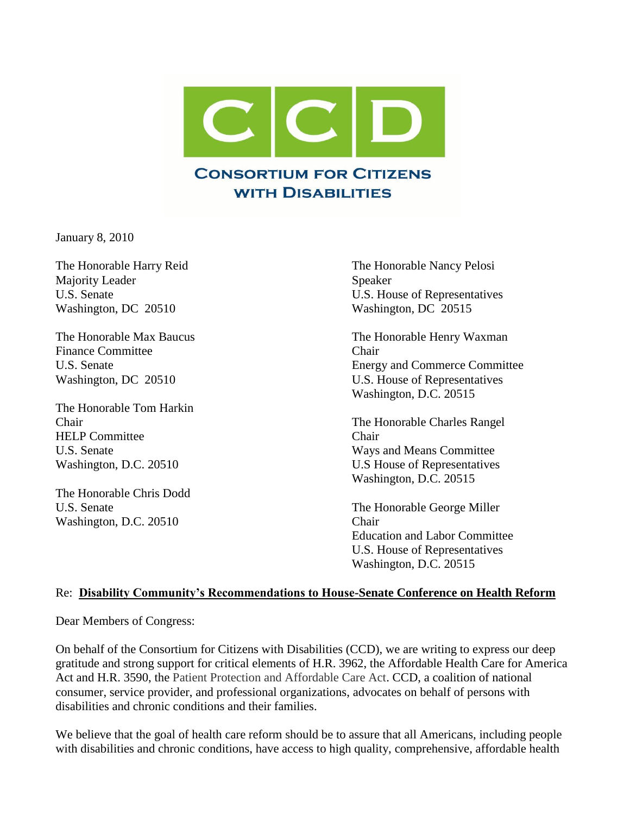

January 8, 2010

Majority Leader Speaker Washington, DC 20510 Washington, DC 20515

Finance Committee **Committee** Chair

The Honorable Tom Harkin HELP Committee Chair

The Honorable Chris Dodd Washington, D.C. 20510 Chair

The Honorable Harry Reid The Honorable Nancy Pelosi U.S. Senate U.S. House of Representatives

The Honorable Max Baucus The Honorable Henry Waxman U.S. Senate Energy and Commerce Committee Washington, DC 20510 U.S. House of Representatives Washington, D.C. 20515

Chair The Honorable Charles Rangel U.S. Senate Ways and Means Committee Washington, D.C. 20510 U.S House of Representatives Washington, D.C. 20515

U.S. Senate The Honorable George Miller Education and Labor Committee U.S. House of Representatives Washington, D.C. 20515

#### Re: **Disability Community's Recommendations to House-Senate Conference on Health Reform**

Dear Members of Congress:

On behalf of the Consortium for Citizens with Disabilities (CCD), we are writing to express our deep gratitude and strong support for critical elements of H.R. 3962, the Affordable Health Care for America Act and H.R. 3590, the Patient Protection and Affordable Care Act. CCD, a coalition of national consumer, service provider, and professional organizations, advocates on behalf of persons with disabilities and chronic conditions and their families.

We believe that the goal of health care reform should be to assure that all Americans, including people with disabilities and chronic conditions, have access to high quality, comprehensive, affordable health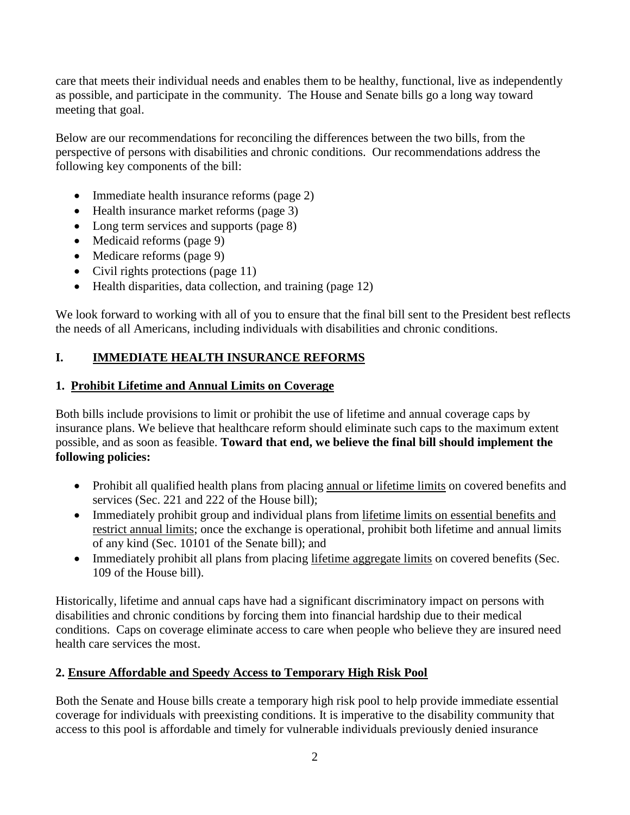care that meets their individual needs and enables them to be healthy, functional, live as independently as possible, and participate in the community. The House and Senate bills go a long way toward meeting that goal.

Below are our recommendations for reconciling the differences between the two bills, from the perspective of persons with disabilities and chronic conditions. Our recommendations address the following key components of the bill:

- Immediate health insurance reforms (page 2)
- Health insurance market reforms (page 3)
- Long term services and supports (page 8)
- Medicaid reforms (page 9)
- Medicare reforms (page 9)
- Civil rights protections (page 11)
- $\bullet$  Health disparities, data collection, and training (page 12)

We look forward to working with all of you to ensure that the final bill sent to the President best reflects the needs of all Americans, including individuals with disabilities and chronic conditions.

### **I. IMMEDIATE HEALTH INSURANCE REFORMS**

#### **1. Prohibit Lifetime and Annual Limits on Coverage**

Both bills include provisions to limit or prohibit the use of lifetime and annual coverage caps by insurance plans. We believe that healthcare reform should eliminate such caps to the maximum extent possible, and as soon as feasible. **Toward that end, we believe the final bill should implement the following policies:**

- Prohibit all qualified health plans from placing annual or lifetime limits on covered benefits and services (Sec. 221 and 222 of the House bill);
- Immediately prohibit group and individual plans from lifetime limits on essential benefits and restrict annual limits; once the exchange is operational, prohibit both lifetime and annual limits of any kind (Sec. 10101 of the Senate bill); and
- Immediately prohibit all plans from placing lifetime aggregate limits on covered benefits (Sec. 109 of the House bill).

Historically, lifetime and annual caps have had a significant discriminatory impact on persons with disabilities and chronic conditions by forcing them into financial hardship due to their medical conditions. Caps on coverage eliminate access to care when people who believe they are insured need health care services the most.

#### **2. Ensure Affordable and Speedy Access to Temporary High Risk Pool**

Both the Senate and House bills create a temporary high risk pool to help provide immediate essential coverage for individuals with preexisting conditions. It is imperative to the disability community that access to this pool is affordable and timely for vulnerable individuals previously denied insurance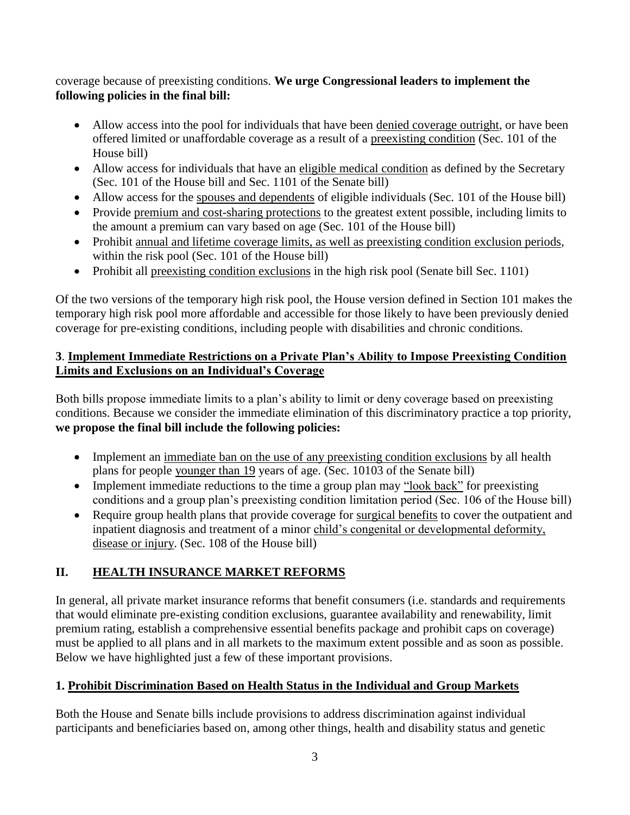### coverage because of preexisting conditions. **We urge Congressional leaders to implement the following policies in the final bill:**

- Allow access into the pool for individuals that have been denied coverage outright, or have been offered limited or unaffordable coverage as a result of a preexisting condition (Sec. 101 of the House bill)
- Allow access for individuals that have an eligible medical condition as defined by the Secretary (Sec. 101 of the House bill and Sec. 1101 of the Senate bill)
- Allow access for the spouses and dependents of eligible individuals (Sec. 101 of the House bill)
- Provide premium and cost-sharing protections to the greatest extent possible, including limits to the amount a premium can vary based on age (Sec. 101 of the House bill)
- Prohibit annual and lifetime coverage limits, as well as preexisting condition exclusion periods, within the risk pool (Sec. 101 of the House bill)
- Prohibit all preexisting condition exclusions in the high risk pool (Senate bill Sec. 1101)

Of the two versions of the temporary high risk pool, the House version defined in Section 101 makes the temporary high risk pool more affordable and accessible for those likely to have been previously denied coverage for pre-existing conditions, including people with disabilities and chronic conditions.

## **3**. **Implement Immediate Restrictions on a Private Plan's Ability to Impose Preexisting Condition Limits and Exclusions on an Individual's Coverage**

Both bills propose immediate limits to a plan's ability to limit or deny coverage based on preexisting conditions. Because we consider the immediate elimination of this discriminatory practice a top priority, **we propose the final bill include the following policies:**

- Implement an <u>immediate ban on the use of any preexisting condition exclusions</u> by all health plans for people younger than 19 years of age. (Sec. 10103 of the Senate bill)
- Implement immediate reductions to the time a group plan may "look back" for preexisting conditions and a group plan's preexisting condition limitation period (Sec. 106 of the House bill)
- Require group health plans that provide coverage for surgical benefits to cover the outpatient and inpatient diagnosis and treatment of a minor child's congenital or developmental deformity, disease or injury. (Sec. 108 of the House bill)

# **II. HEALTH INSURANCE MARKET REFORMS**

In general, all private market insurance reforms that benefit consumers (i.e. standards and requirements that would eliminate pre-existing condition exclusions, guarantee availability and renewability, limit premium rating, establish a comprehensive essential benefits package and prohibit caps on coverage) must be applied to all plans and in all markets to the maximum extent possible and as soon as possible. Below we have highlighted just a few of these important provisions.

## **1. Prohibit Discrimination Based on Health Status in the Individual and Group Markets**

Both the House and Senate bills include provisions to address discrimination against individual participants and beneficiaries based on, among other things, health and disability status and genetic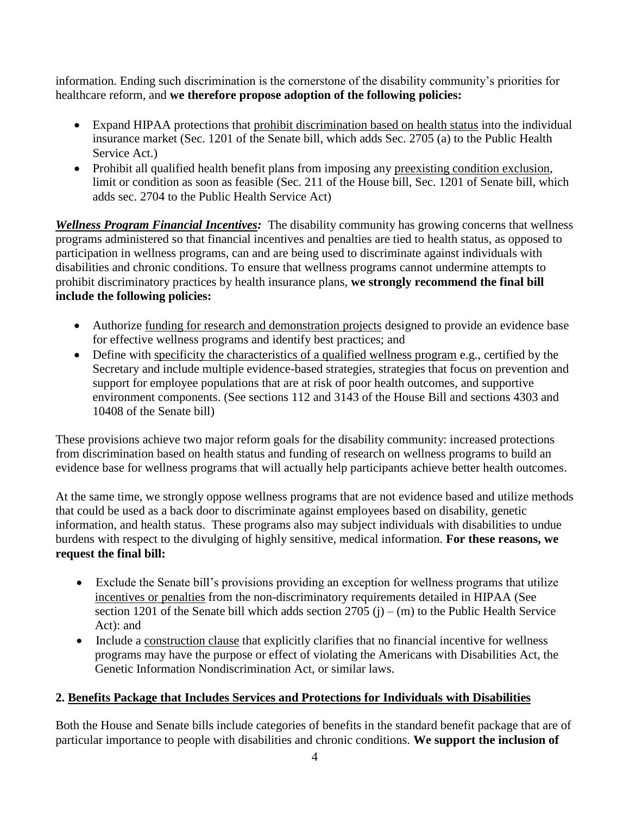information. Ending such discrimination is the cornerstone of the disability community's priorities for healthcare reform, and **we therefore propose adoption of the following policies:**

- Expand HIPAA protections that prohibit discrimination based on health status into the individual insurance market (Sec. 1201 of the Senate bill, which adds Sec. 2705 (a) to the Public Health Service Act.)
- Prohibit all qualified health benefit plans from imposing any preexisting condition exclusion, limit or condition as soon as feasible (Sec. 211 of the House bill, Sec. 1201 of Senate bill, which adds sec. 2704 to the Public Health Service Act)

*Wellness Program Financial Incentives:* The disability community has growing concerns that wellness programs administered so that financial incentives and penalties are tied to health status, as opposed to participation in wellness programs, can and are being used to discriminate against individuals with disabilities and chronic conditions. To ensure that wellness programs cannot undermine attempts to prohibit discriminatory practices by health insurance plans, **we strongly recommend the final bill include the following policies:**

- Authorize funding for research and demonstration projects designed to provide an evidence base for effective wellness programs and identify best practices; and
- Define with specificity the characteristics of a qualified wellness program e.g., certified by the Secretary and include multiple evidence-based strategies, strategies that focus on prevention and support for employee populations that are at risk of poor health outcomes, and supportive environment components. (See sections 112 and 3143 of the House Bill and sections 4303 and 10408 of the Senate bill)

These provisions achieve two major reform goals for the disability community: increased protections from discrimination based on health status and funding of research on wellness programs to build an evidence base for wellness programs that will actually help participants achieve better health outcomes.

At the same time, we strongly oppose wellness programs that are not evidence based and utilize methods that could be used as a back door to discriminate against employees based on disability, genetic information, and health status. These programs also may subject individuals with disabilities to undue burdens with respect to the divulging of highly sensitive, medical information. **For these reasons, we request the final bill:**

- Exclude the Senate bill's provisions providing an exception for wellness programs that utilize incentives or penalties from the non-discriminatory requirements detailed in HIPAA (See section 1201 of the Senate bill which adds section  $2705$  (j) – (m) to the Public Health Service Act): and
- Include a construction clause that explicitly clarifies that no financial incentive for wellness programs may have the purpose or effect of violating the Americans with Disabilities Act, the Genetic Information Nondiscrimination Act, or similar laws.

## **2. Benefits Package that Includes Services and Protections for Individuals with Disabilities**

Both the House and Senate bills include categories of benefits in the standard benefit package that are of particular importance to people with disabilities and chronic conditions. **We support the inclusion of**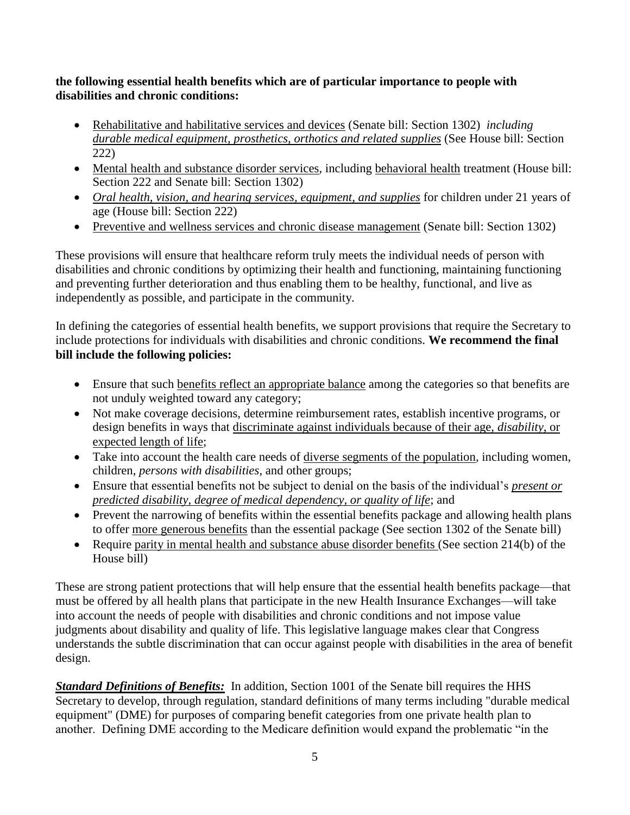#### **the following essential health benefits which are of particular importance to people with disabilities and chronic conditions:**

- Rehabilitative and habilitative services and devices (Senate bill: Section 1302) *including durable medical equipment, prosthetics, orthotics and related supplies* (See House bill: Section 222)
- Mental health and substance disorder services, including behavioral health treatment (House bill: Section 222 and Senate bill: Section 1302)
- *Oral health, vision, and hearing services, equipment, and supplies* for children under 21 years of age (House bill: Section 222)
- Preventive and wellness services and chronic disease management (Senate bill: Section 1302)

These provisions will ensure that healthcare reform truly meets the individual needs of person with disabilities and chronic conditions by optimizing their health and functioning, maintaining functioning and preventing further deterioration and thus enabling them to be healthy, functional, and live as independently as possible, and participate in the community.

In defining the categories of essential health benefits, we support provisions that require the Secretary to include protections for individuals with disabilities and chronic conditions. **We recommend the final bill include the following policies:**

- Ensure that such benefits reflect an appropriate balance among the categories so that benefits are not unduly weighted toward any category;
- Not make coverage decisions, determine reimbursement rates, establish incentive programs, or design benefits in ways that discriminate against individuals because of their age, *disability*, or expected length of life;
- Take into account the health care needs of <u>diverse segments of the population</u>, including women, children, *persons with disabilities*, and other groups;
- Ensure that essential benefits not be subject to denial on the basis of the individual's *present or predicted disability, degree of medical dependency, or quality of life*; and
- Prevent the narrowing of benefits within the essential benefits package and allowing health plans to offer more generous benefits than the essential package (See section 1302 of the Senate bill)
- Require parity in mental health and substance abuse disorder benefits (See section 214(b) of the House bill)

These are strong patient protections that will help ensure that the essential health benefits package—that must be offered by all health plans that participate in the new Health Insurance Exchanges—will take into account the needs of people with disabilities and chronic conditions and not impose value judgments about disability and quality of life. This legislative language makes clear that Congress understands the subtle discrimination that can occur against people with disabilities in the area of benefit design.

*Standard Definitions of Benefits:* In addition, Section 1001 of the Senate bill requires the HHS Secretary to develop, through regulation, standard definitions of many terms including "durable medical equipment" (DME) for purposes of comparing benefit categories from one private health plan to another. Defining DME according to the Medicare definition would expand the problematic "in the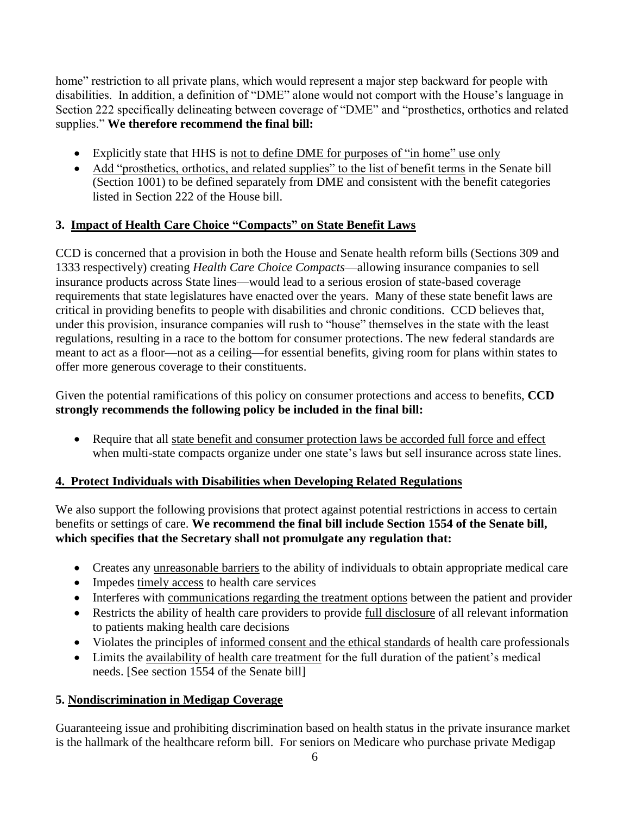home" restriction to all private plans, which would represent a major step backward for people with disabilities. In addition, a definition of "DME" alone would not comport with the House's language in Section 222 specifically delineating between coverage of "DME" and "prosthetics, orthotics and related supplies." We therefore recommend the final bill:

- Explicitly state that HHS is not to define DME for purposes of "in home" use only
- Add "prosthetics, orthotics, and related supplies" to the list of benefit terms in the Senate bill (Section 1001) to be defined separately from DME and consistent with the benefit categories listed in Section 222 of the House bill.

#### **3. Impact of Health Care Choice "Compacts" on State Benefit Laws**

CCD is concerned that a provision in both the House and Senate health reform bills (Sections 309 and 1333 respectively) creating *Health Care Choice Compacts*—allowing insurance companies to sell insurance products across State lines—would lead to a serious erosion of state-based coverage requirements that state legislatures have enacted over the years. Many of these state benefit laws are critical in providing benefits to people with disabilities and chronic conditions. CCD believes that, under this provision, insurance companies will rush to "house" themselves in the state with the least regulations, resulting in a race to the bottom for consumer protections. The new federal standards are meant to act as a floor—not as a ceiling—for essential benefits, giving room for plans within states to offer more generous coverage to their constituents.

Given the potential ramifications of this policy on consumer protections and access to benefits, **CCD strongly recommends the following policy be included in the final bill:**

• Require that all state benefit and consumer protection laws be accorded full force and effect when multi-state compacts organize under one state's laws but sell insurance across state lines.

## **4. Protect Individuals with Disabilities when Developing Related Regulations**

We also support the following provisions that protect against potential restrictions in access to certain benefits or settings of care. **We recommend the final bill include Section 1554 of the Senate bill, which specifies that the Secretary shall not promulgate any regulation that:**

- Creates any unreasonable barriers to the ability of individuals to obtain appropriate medical care
- Impedes timely access to health care services
- Interferes with communications regarding the treatment options between the patient and provider
- Restricts the ability of health care providers to provide full disclosure of all relevant information to patients making health care decisions
- Violates the principles of informed consent and the ethical standards of health care professionals
- Limits the availability of health care treatment for the full duration of the patient's medical needs. [See section 1554 of the Senate bill]

## **5. Nondiscrimination in Medigap Coverage**

Guaranteeing issue and prohibiting discrimination based on health status in the private insurance market is the hallmark of the healthcare reform bill. For seniors on Medicare who purchase private Medigap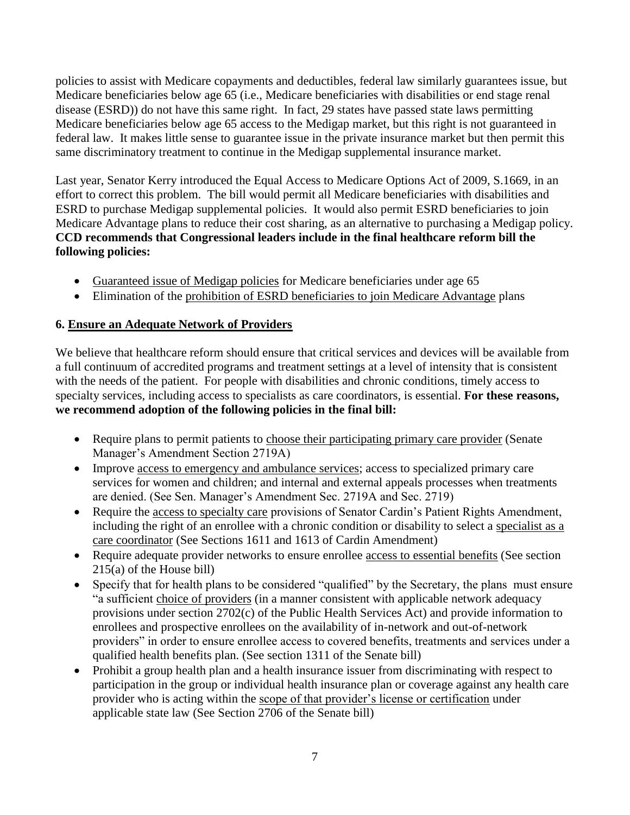policies to assist with Medicare copayments and deductibles, federal law similarly guarantees issue, but Medicare beneficiaries below age 65 (i.e., Medicare beneficiaries with disabilities or end stage renal disease (ESRD)) do not have this same right. In fact, 29 states have passed state laws permitting Medicare beneficiaries below age 65 access to the Medigap market, but this right is not guaranteed in federal law. It makes little sense to guarantee issue in the private insurance market but then permit this same discriminatory treatment to continue in the Medigap supplemental insurance market.

Last year, Senator Kerry introduced the Equal Access to Medicare Options Act of 2009, S.1669, in an effort to correct this problem. The bill would permit all Medicare beneficiaries with disabilities and ESRD to purchase Medigap supplemental policies. It would also permit ESRD beneficiaries to join Medicare Advantage plans to reduce their cost sharing, as an alternative to purchasing a Medigap policy. **CCD recommends that Congressional leaders include in the final healthcare reform bill the following policies:**

- Guaranteed issue of Medigap policies for Medicare beneficiaries under age 65
- Elimination of the prohibition of ESRD beneficiaries to join Medicare Advantage plans

## **6. Ensure an Adequate Network of Providers**

We believe that healthcare reform should ensure that critical services and devices will be available from a full continuum of accredited programs and treatment settings at a level of intensity that is consistent with the needs of the patient. For people with disabilities and chronic conditions, timely access to specialty services, including access to specialists as care coordinators, is essential. **For these reasons, we recommend adoption of the following policies in the final bill:**

- Require plans to permit patients to choose their participating primary care provider (Senate Manager's Amendment Section 2719A)
- Improve access to emergency and ambulance services; access to specialized primary care services for women and children; and internal and external appeals processes when treatments are denied. (See Sen. Manager's Amendment Sec. 2719A and Sec. 2719)
- Require the access to specialty care provisions of Senator Cardin's Patient Rights Amendment, including the right of an enrollee with a chronic condition or disability to select a specialist as a care coordinator (See Sections 1611 and 1613 of Cardin Amendment)
- Require adequate provider networks to ensure enrollee access to essential benefits (See section 215(a) of the House bill)
- Specify that for health plans to be considered "qualified" by the Secretary, the plans must ensure "a sufficient choice of providers (in a manner consistent with applicable network adequacy provisions under section 2702(c) of the Public Health Services Act) and provide information to enrollees and prospective enrollees on the availability of in-network and out-of-network providers" in order to ensure enrollee access to covered benefits, treatments and services under a qualified health benefits plan. (See section 1311 of the Senate bill)
- Prohibit a group health plan and a health insurance issuer from discriminating with respect to participation in the group or individual health insurance plan or coverage against any health care provider who is acting within the scope of that provider's license or certification under applicable state law (See Section 2706 of the Senate bill)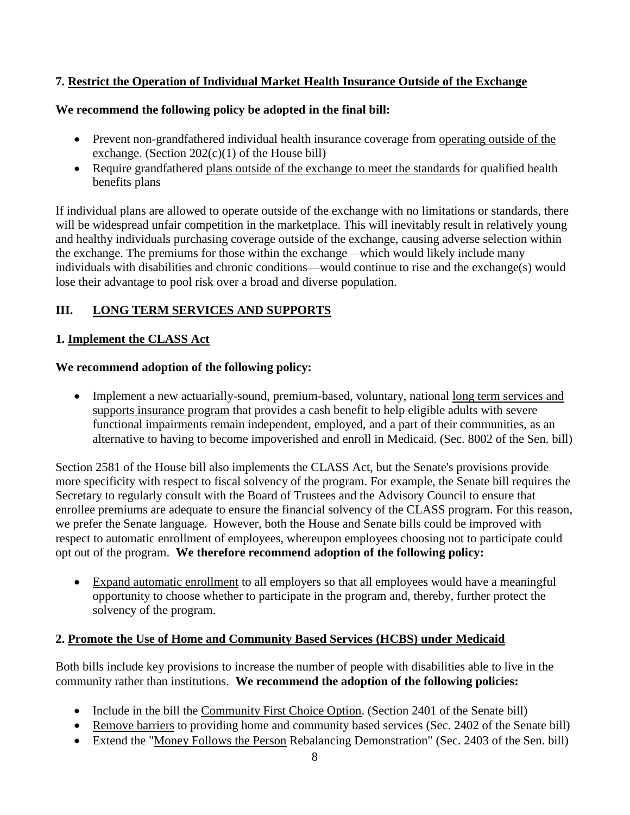## **7. Restrict the Operation of Individual Market Health Insurance Outside of the Exchange**

## **We recommend the following policy be adopted in the final bill:**

- Prevent non-grandfathered individual health insurance coverage from operating outside of the exchange. (Section  $202(c)(1)$  of the House bill)
- Require grandfathered plans outside of the exchange to meet the standards for qualified health benefits plans

If individual plans are allowed to operate outside of the exchange with no limitations or standards, there will be widespread unfair competition in the marketplace. This will inevitably result in relatively young and healthy individuals purchasing coverage outside of the exchange, causing adverse selection within the exchange. The premiums for those within the exchange—which would likely include many individuals with disabilities and chronic conditions—would continue to rise and the exchange(s) would lose their advantage to pool risk over a broad and diverse population.

## **III. LONG TERM SERVICES AND SUPPORTS**

## **1. Implement the CLASS Act**

## **We recommend adoption of the following policy:**

• Implement a new actuarially-sound, premium-based, voluntary, national long term services and supports insurance program that provides a cash benefit to help eligible adults with severe functional impairments remain independent, employed, and a part of their communities, as an alternative to having to become impoverished and enroll in Medicaid. (Sec. 8002 of the Sen. bill)

Section 2581 of the House bill also implements the CLASS Act, but the Senate's provisions provide more specificity with respect to fiscal solvency of the program. For example, the Senate bill requires the Secretary to regularly consult with the Board of Trustees and the Advisory Council to ensure that enrollee premiums are adequate to ensure the financial solvency of the CLASS program. For this reason, we prefer the Senate language. However, both the House and Senate bills could be improved with respect to automatic enrollment of employees, whereupon employees choosing not to participate could opt out of the program. **We therefore recommend adoption of the following policy:**

 Expand automatic enrollment to all employers so that all employees would have a meaningful opportunity to choose whether to participate in the program and, thereby, further protect the solvency of the program.

## **2. Promote the Use of Home and Community Based Services (HCBS) under Medicaid**

Both bills include key provisions to increase the number of people with disabilities able to live in the community rather than institutions. **We recommend the adoption of the following policies:**

- Include in the bill the Community First Choice Option. (Section 2401 of the Senate bill)
- Remove barriers to providing home and community based services (Sec. 2402 of the Senate bill)
- Extend the "Money Follows the Person Rebalancing Demonstration" (Sec. 2403 of the Sen. bill)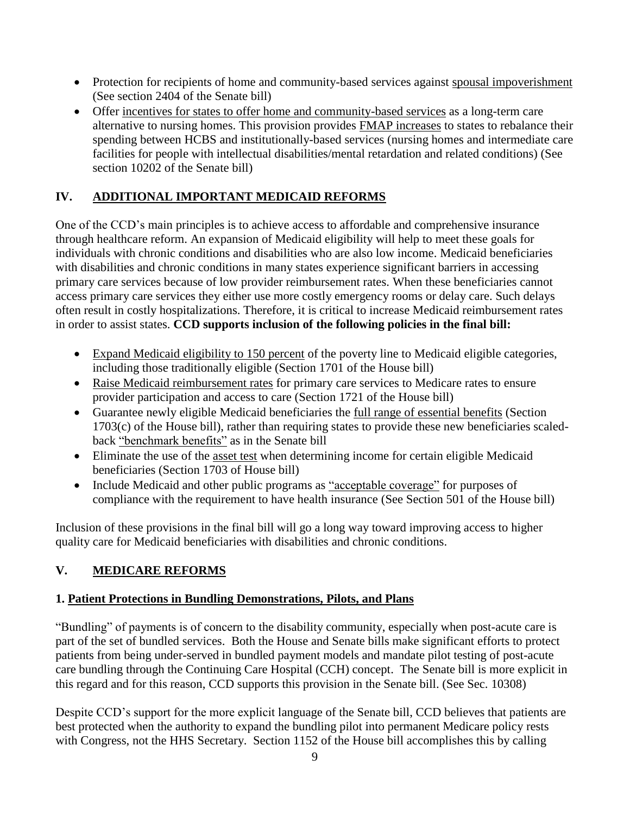- Protection for recipients of home and community-based services against spousal impoverishment (See section 2404 of the Senate bill)
- Offer incentives for states to offer home and community-based services as a long-term care alternative to nursing homes. This provision provides FMAP increases to states to rebalance their spending between HCBS and institutionally-based services (nursing homes and intermediate care facilities for people with intellectual disabilities/mental retardation and related conditions) (See section 10202 of the Senate bill)

## **IV. ADDITIONAL IMPORTANT MEDICAID REFORMS**

One of the CCD's main principles is to achieve access to affordable and comprehensive insurance through healthcare reform. An expansion of Medicaid eligibility will help to meet these goals for individuals with chronic conditions and disabilities who are also low income. Medicaid beneficiaries with disabilities and chronic conditions in many states experience significant barriers in accessing primary care services because of low provider reimbursement rates. When these beneficiaries cannot access primary care services they either use more costly emergency rooms or delay care. Such delays often result in costly hospitalizations. Therefore, it is critical to increase Medicaid reimbursement rates in order to assist states. **CCD supports inclusion of the following policies in the final bill:**

- Expand Medicaid eligibility to 150 percent of the poverty line to Medicaid eligible categories, including those traditionally eligible (Section 1701 of the House bill)
- Raise Medicaid reimbursement rates for primary care services to Medicare rates to ensure provider participation and access to care (Section 1721 of the House bill)
- Guarantee newly eligible Medicaid beneficiaries the full range of essential benefits (Section 1703(c) of the House bill), rather than requiring states to provide these new beneficiaries scaledback "benchmark benefits" as in the Senate bill
- Eliminate the use of the asset test when determining income for certain eligible Medicaid beneficiaries (Section 1703 of House bill)
- Include Medicaid and other public programs as "acceptable coverage" for purposes of compliance with the requirement to have health insurance (See Section 501 of the House bill)

Inclusion of these provisions in the final bill will go a long way toward improving access to higher quality care for Medicaid beneficiaries with disabilities and chronic conditions.

## **V. MEDICARE REFORMS**

## **1. Patient Protections in Bundling Demonstrations, Pilots, and Plans**

―Bundling‖ of payments is of concern to the disability community, especially when post-acute care is part of the set of bundled services. Both the House and Senate bills make significant efforts to protect patients from being under-served in bundled payment models and mandate pilot testing of post-acute care bundling through the Continuing Care Hospital (CCH) concept. The Senate bill is more explicit in this regard and for this reason, CCD supports this provision in the Senate bill. (See Sec. 10308)

Despite CCD's support for the more explicit language of the Senate bill, CCD believes that patients are best protected when the authority to expand the bundling pilot into permanent Medicare policy rests with Congress, not the HHS Secretary. Section 1152 of the House bill accomplishes this by calling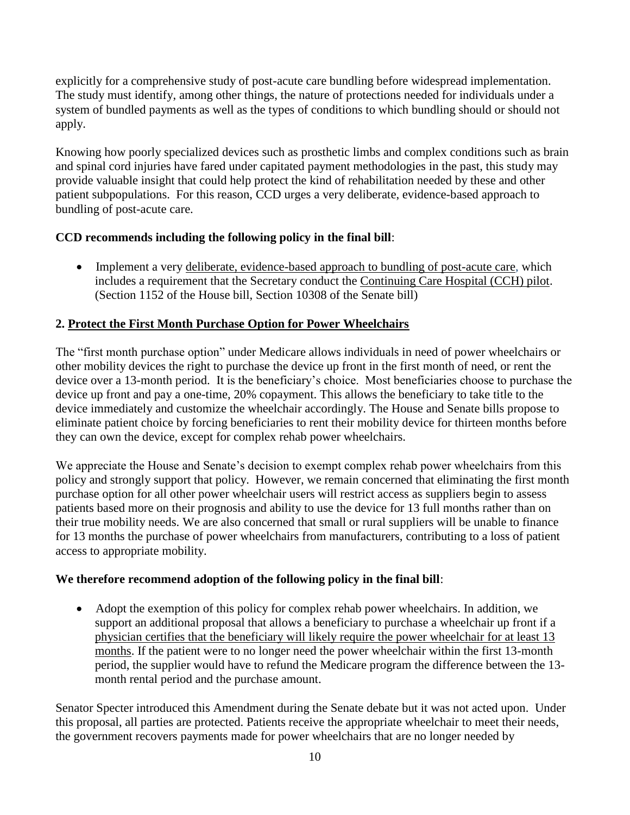explicitly for a comprehensive study of post-acute care bundling before widespread implementation. The study must identify, among other things, the nature of protections needed for individuals under a system of bundled payments as well as the types of conditions to which bundling should or should not apply.

Knowing how poorly specialized devices such as prosthetic limbs and complex conditions such as brain and spinal cord injuries have fared under capitated payment methodologies in the past, this study may provide valuable insight that could help protect the kind of rehabilitation needed by these and other patient subpopulations. For this reason, CCD urges a very deliberate, evidence-based approach to bundling of post-acute care.

## **CCD recommends including the following policy in the final bill**:

• Implement a very deliberate, evidence-based approach to bundling of post-acute care, which includes a requirement that the Secretary conduct the Continuing Care Hospital (CCH) pilot. (Section 1152 of the House bill, Section 10308 of the Senate bill)

## **2. Protect the First Month Purchase Option for Power Wheelchairs**

The "first month purchase option" under Medicare allows individuals in need of power wheelchairs or other mobility devices the right to purchase the device up front in the first month of need, or rent the device over a 13-month period. It is the beneficiary's choice. Most beneficiaries choose to purchase the device up front and pay a one-time, 20% copayment. This allows the beneficiary to take title to the device immediately and customize the wheelchair accordingly. The House and Senate bills propose to eliminate patient choice by forcing beneficiaries to rent their mobility device for thirteen months before they can own the device, except for complex rehab power wheelchairs.

We appreciate the House and Senate's decision to exempt complex rehab power wheelchairs from this policy and strongly support that policy. However, we remain concerned that eliminating the first month purchase option for all other power wheelchair users will restrict access as suppliers begin to assess patients based more on their prognosis and ability to use the device for 13 full months rather than on their true mobility needs. We are also concerned that small or rural suppliers will be unable to finance for 13 months the purchase of power wheelchairs from manufacturers, contributing to a loss of patient access to appropriate mobility.

#### **We therefore recommend adoption of the following policy in the final bill**:

 Adopt the exemption of this policy for complex rehab power wheelchairs. In addition, we support an additional proposal that allows a beneficiary to purchase a wheelchair up front if a physician certifies that the beneficiary will likely require the power wheelchair for at least 13 months. If the patient were to no longer need the power wheelchair within the first 13-month period, the supplier would have to refund the Medicare program the difference between the 13 month rental period and the purchase amount.

Senator Specter introduced this Amendment during the Senate debate but it was not acted upon. Under this proposal, all parties are protected. Patients receive the appropriate wheelchair to meet their needs, the government recovers payments made for power wheelchairs that are no longer needed by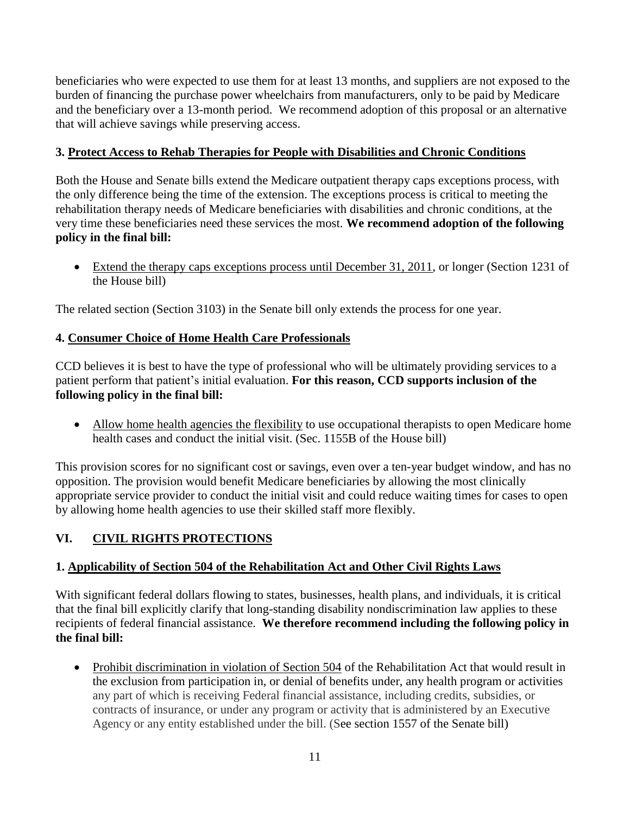beneficiaries who were expected to use them for at least 13 months, and suppliers are not exposed to the burden of financing the purchase power wheelchairs from manufacturers, only to be paid by Medicare and the beneficiary over a 13-month period. We recommend adoption of this proposal or an alternative that will achieve savings while preserving access.

## **3. Protect Access to Rehab Therapies for People with Disabilities and Chronic Conditions**

Both the House and Senate bills extend the Medicare outpatient therapy caps exceptions process, with the only difference being the time of the extension. The exceptions process is critical to meeting the rehabilitation therapy needs of Medicare beneficiaries with disabilities and chronic conditions, at the very time these beneficiaries need these services the most. **We recommend adoption of the following policy in the final bill:**

 Extend the therapy caps exceptions process until December 31, 2011, or longer (Section 1231 of the House bill)

The related section (Section 3103) in the Senate bill only extends the process for one year.

## **4. Consumer Choice of Home Health Care Professionals**

CCD believes it is best to have the type of professional who will be ultimately providing services to a patient perform that patient's initial evaluation. **For this reason, CCD supports inclusion of the following policy in the final bill:**

• Allow home health agencies the flexibility to use occupational therapists to open Medicare home health cases and conduct the initial visit. (Sec. 1155B of the House bill)

This provision scores for no significant cost or savings, even over a ten-year budget window, and has no opposition. The provision would benefit Medicare beneficiaries by allowing the most clinically appropriate service provider to conduct the initial visit and could reduce waiting times for cases to open by allowing home health agencies to use their skilled staff more flexibly.

# **VI. CIVIL RIGHTS PROTECTIONS**

## **1. Applicability of Section 504 of the Rehabilitation Act and Other Civil Rights Laws**

With significant federal dollars flowing to states, businesses, health plans, and individuals, it is critical that the final bill explicitly clarify that long-standing disability nondiscrimination law applies to these recipients of federal financial assistance. **We therefore recommend including the following policy in the final bill:**

• Prohibit discrimination in violation of Section 504 of the Rehabilitation Act that would result in the exclusion from participation in, or denial of benefits under, any health program or activities any part of which is receiving Federal financial assistance, including credits, subsidies, or contracts of insurance, or under any program or activity that is administered by an Executive Agency or any entity established under the bill. (See section 1557 of the Senate bill)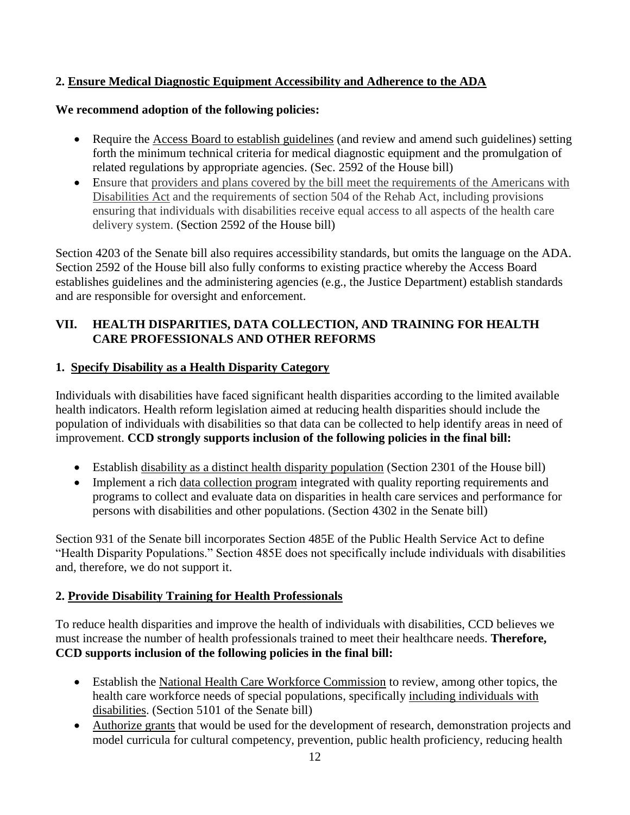## **2. Ensure Medical Diagnostic Equipment Accessibility and Adherence to the ADA**

#### **We recommend adoption of the following policies:**

- Require the Access Board to establish guidelines (and review and amend such guidelines) setting forth the minimum technical criteria for medical diagnostic equipment and the promulgation of related regulations by appropriate agencies. (Sec. 2592 of the House bill)
- Ensure that providers and plans covered by the bill meet the requirements of the Americans with Disabilities Act and the requirements of section 504 of the Rehab Act, including provisions ensuring that individuals with disabilities receive equal access to all aspects of the health care delivery system. (Section 2592 of the House bill)

Section 4203 of the Senate bill also requires accessibility standards, but omits the language on the ADA. Section 2592 of the House bill also fully conforms to existing practice whereby the Access Board establishes guidelines and the administering agencies (e.g., the Justice Department) establish standards and are responsible for oversight and enforcement.

### **VII. HEALTH DISPARITIES, DATA COLLECTION, AND TRAINING FOR HEALTH CARE PROFESSIONALS AND OTHER REFORMS**

#### **1. Specify Disability as a Health Disparity Category**

Individuals with disabilities have faced significant health disparities according to the limited available health indicators. Health reform legislation aimed at reducing health disparities should include the population of individuals with disabilities so that data can be collected to help identify areas in need of improvement. **CCD strongly supports inclusion of the following policies in the final bill:**

- Establish disability as a distinct health disparity population (Section 2301 of the House bill)
- Implement a rich data collection program integrated with quality reporting requirements and programs to collect and evaluate data on disparities in health care services and performance for persons with disabilities and other populations. (Section 4302 in the Senate bill)

Section 931 of the Senate bill incorporates Section 485E of the Public Health Service Act to define "Health Disparity Populations." Section 485E does not specifically include individuals with disabilities and, therefore, we do not support it.

#### **2. Provide Disability Training for Health Professionals**

To reduce health disparities and improve the health of individuals with disabilities, CCD believes we must increase the number of health professionals trained to meet their healthcare needs. **Therefore, CCD supports inclusion of the following policies in the final bill:**

- Establish the National Health Care Workforce Commission to review, among other topics, the health care workforce needs of special populations, specifically including individuals with disabilities. (Section 5101 of the Senate bill)
- Authorize grants that would be used for the development of research, demonstration projects and model curricula for cultural competency, prevention, public health proficiency, reducing health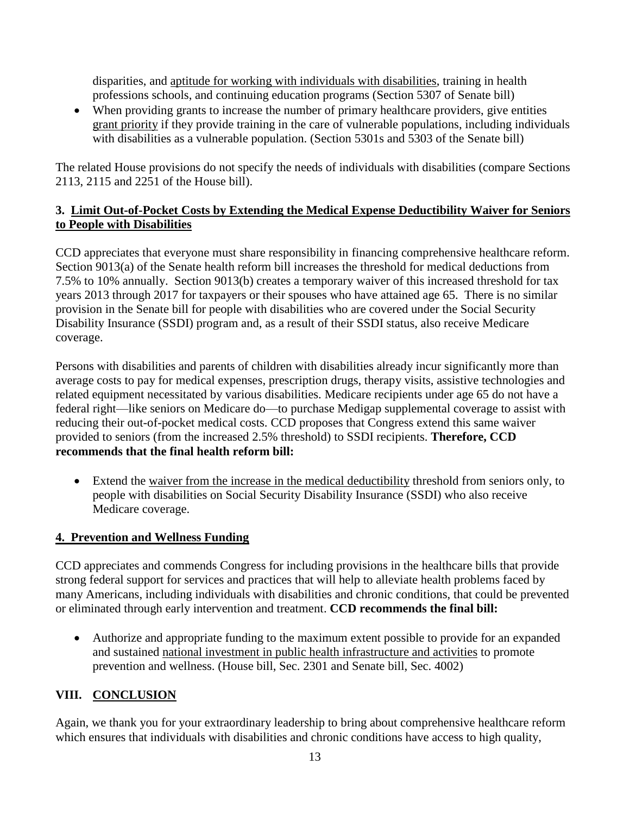disparities, and aptitude for working with individuals with disabilities, training in health professions schools, and continuing education programs (Section 5307 of Senate bill)

 When providing grants to increase the number of primary healthcare providers, give entities grant priority if they provide training in the care of vulnerable populations, including individuals with disabilities as a vulnerable population. (Section 5301s and 5303 of the Senate bill)

The related House provisions do not specify the needs of individuals with disabilities (compare Sections 2113, 2115 and 2251 of the House bill).

## **3. Limit Out-of-Pocket Costs by Extending the Medical Expense Deductibility Waiver for Seniors to People with Disabilities**

CCD appreciates that everyone must share responsibility in financing comprehensive healthcare reform. Section 9013(a) of the Senate health reform bill increases the threshold for medical deductions from 7.5% to 10% annually. Section 9013(b) creates a temporary waiver of this increased threshold for tax years 2013 through 2017 for taxpayers or their spouses who have attained age 65. There is no similar provision in the Senate bill for people with disabilities who are covered under the Social Security Disability Insurance (SSDI) program and, as a result of their SSDI status, also receive Medicare coverage.

Persons with disabilities and parents of children with disabilities already incur significantly more than average costs to pay for medical expenses, prescription drugs, therapy visits, assistive technologies and related equipment necessitated by various disabilities. Medicare recipients under age 65 do not have a federal right—like seniors on Medicare do—to purchase Medigap supplemental coverage to assist with reducing their out-of-pocket medical costs. CCD proposes that Congress extend this same waiver provided to seniors (from the increased 2.5% threshold) to SSDI recipients. **Therefore, CCD recommends that the final health reform bill:**

 Extend the waiver from the increase in the medical deductibility threshold from seniors only, to people with disabilities on Social Security Disability Insurance (SSDI) who also receive Medicare coverage.

## **4. Prevention and Wellness Funding**

CCD appreciates and commends Congress for including provisions in the healthcare bills that provide strong federal support for services and practices that will help to alleviate health problems faced by many Americans, including individuals with disabilities and chronic conditions, that could be prevented or eliminated through early intervention and treatment. **CCD recommends the final bill:**

 Authorize and appropriate funding to the maximum extent possible to provide for an expanded and sustained national investment in public health infrastructure and activities to promote prevention and wellness. (House bill, Sec. 2301 and Senate bill, Sec. 4002)

## **VIII. CONCLUSION**

Again, we thank you for your extraordinary leadership to bring about comprehensive healthcare reform which ensures that individuals with disabilities and chronic conditions have access to high quality,